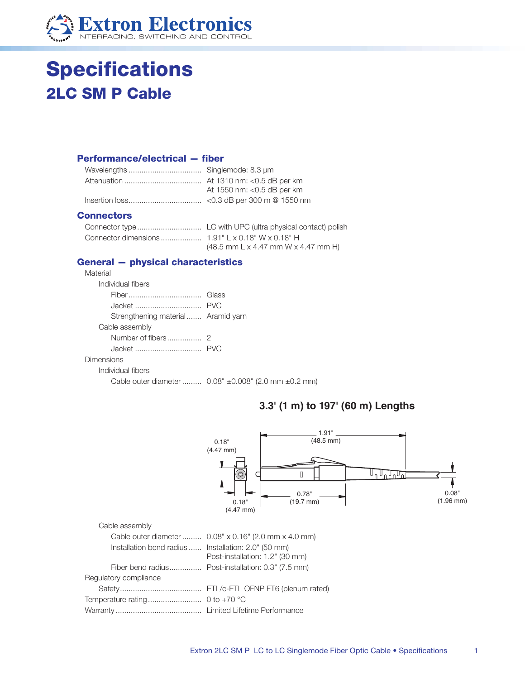

# **Specifications 2LC SM P Cable**

#### **Performance/electrical - fiber**

| At 1550 nm: < 0.5 dB per km |
|-----------------------------|
|                             |

#### **Connectors**

| $(48.5$ mm L x 4.47 mm W x 4.47 mm H) |
|---------------------------------------|

### **General - physical characteristics**

| Material                           |                                                      |
|------------------------------------|------------------------------------------------------|
| Individual fibers                  |                                                      |
|                                    |                                                      |
|                                    |                                                      |
| Strengthening material Aramid yarn |                                                      |
| Cable assembly                     |                                                      |
|                                    |                                                      |
|                                    |                                                      |
| Dimensions                         |                                                      |
| Individual fibers                  |                                                      |
|                                    | Cable outer diameter  0.08" ±0.008" (2.0 mm ±0.2 mm) |

## 3.3' (1 m) to 197' (60 m) Lengths

|                                                      | 1.91"<br>(48.5 mm)<br>0.18"<br>$(4.47$ mm)<br>$\circledcirc$<br>0.78"<br>$(19.7$ mm)<br>0.18"<br>$(4.47$ mm $)$ | 0.08"<br>$(1.96$ mm) |
|------------------------------------------------------|-----------------------------------------------------------------------------------------------------------------|----------------------|
| Cable assembly                                       |                                                                                                                 |                      |
|                                                      | Cable outer diameter  0.08" x 0.16" (2.0 mm x 4.0 mm)                                                           |                      |
| Installation bend radius  Installation: 2.0" (50 mm) |                                                                                                                 |                      |
|                                                      | Post-installation: 1.2" (30 mm)                                                                                 |                      |
| Fiber bend radius                                    | Post-installation: 0.3" (7.5 mm)                                                                                |                      |
| Regulatory compliance                                |                                                                                                                 |                      |
|                                                      | ETL/c-ETL OFNP FT6 (plenum rated)                                                                               |                      |
| Temperature rating                                   | 0 to $+70$ °C                                                                                                   |                      |
|                                                      |                                                                                                                 |                      |